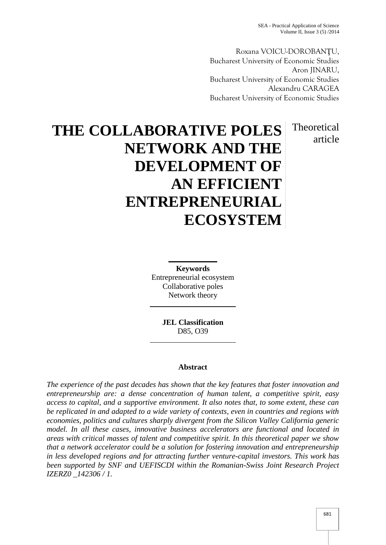Roxana VOICU-DOROBAN U, Bucharest University of Economic Studies Aron JINARU, Bucharest University of Economic Studies Alexandru CARAGEA Bucharest University of Economic Studies

> Theoretical article

# **THE COLLABORATIVE POLES NETWORK AND THE DEVELOPMENT OF AN EFFICIENT ENTREPRENEURIAL ECOSYSTEM**

**Keywords** Entrepreneurial ecosystem Collaborative poles Network theory

> **JEL Classification** D85, O39

# **Abstract**

*The experience of the past decades has shown that the key features that foster innovation and entrepreneurship are: a dense concentration of human talent, a competitive spirit, easy access to capital, and a supportive environment. It also notes that, to some extent, these can be replicated in and adapted to a wide variety of contexts, even in countries and regions with economies, politics and cultures sharply divergent from the Silicon Valley California generic model. In all these cases, innovative business accelerators are functional and located in areas with critical masses of talent and competitive spirit. In this theoretical paper we show that a network accelerator could be a solution for fostering innovation and entrepreneurship in less developed regions and for attracting further venture-capital investors. This work has been supported by SNF and UEFISCDI within the Romanian-Swiss Joint Research Project IZERZ0 \_142306 / 1.*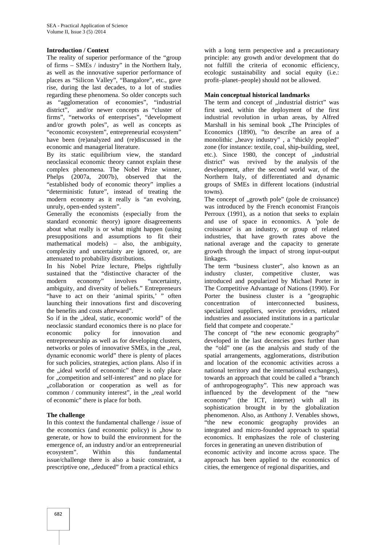## **Introduction / Context**

The reality of superior performance of the "group of firms – SMEs / industry" in the Northern Italy, as well as the innovative superior performance of places as "Silicon Valley", "Bangalore", etc., gave rise, during the last decades, to a lot of studies regarding these phenomena. So older concepts such as "agglomeration of economies", "industrial district", and/or newer concepts as "cluster of firms", "networks of enterprises", "development and/or growth poles", as well as concepts as "economic ecosystem", entrepreneurial ecosystem" have been (re)analyzed and (re)discussed in the economic and managerial literature.

By its static equilibrium view, the standard neoclassical economic theory cannot explain these complex phenomena. The Nobel Prize winner, Phelps (2007a, 2007b), observed that the "established body of economic theory" implies a "deterministic future", instead of treating the modern economy as it really is "an evolving, unruly, open-ended system".

Generally the economists (especially from the standard economic theory) ignore disagreements about what really is or what might happen (using presuppositions and assumptions to fit their mathematical models) – also, the ambiguity, complexity and uncertainty are ignored, or, are attenuated to probability distributions.

In his Nobel Prize lecture, Phelps rightfully sustained that the "distinctive character of the modern economy" involves "uncertainty, ambiguity, and diversity of beliefs." Entrepreneurs "have to act on their 'animal spirits,' " often launching their innovations first and discovering the benefits and costs afterward".

So if in the ... ideal, static, economic world" of the neoclassic standard economics there is no place for economic policy for innovation and entrepreneurship as well as for developing clusters, networks or poles of innovative SMEs, in the "real, dynamic economic world" there is plenty of places for such policies, strategies, action plans. Also if in the "ideal world of economic" there is only place for "competition and self-interest" and no place for "collaboration or cooperation as well as for common / community interest", in the "real world of economic" there is place for both.

#### **The challenge**

In this context the fundamental challenge / issue of the economics (and economic policy) is "how to generate, or how to build the environment for the emergence of, an industry and/or an entrepreneurial ecosystem". Within this fundamental issue/challenge there is also a basic constraint, a prescriptive one, "deduced" from a practical ethics

with a long term perspective and a precautionary principle: any growth and/or development that do not fulfill the criteria of economic efficiency, ecologic sustainability and social equity (i.e.: profit–planet–people) should not be allowed.

## **Main conceptual historical landmarks**

The term and concept of "industrial district" was first used, within the deployment of the first industrial revolution in urban areas, by Alfred Marshall in his seminal book ., The Principles of Economics (1890), "to describe an area of a monolithic "heavy industry", a "thickly peopled" zone (for instance: textile, coal, ship-building, steel, etc.). Since  $1980$ , the concept of  $\ldots$  industrial district" was revived by the analysis of the development, after the second world war, of the Northern Italy, of differentiated and dynamic groups of SMEs in different locations (industrial towns).

The concept of "growth pole" (pole de croissance) was introduced by the French economist François Perroux (1991), as a notion that seeks to explain and use of space in economics. A 'pole de croissance' is an industry, or group of related industries, that have growth rates above the national average and the capacity to generate growth through the impact of strong input-output linkages.

The term "business cluster", also known as an industry cluster, competitive cluster, was introduced and popularized by Michael Porter in The Competitive Advantage of Nations (1990). For Porter the business cluster is a "geographic of interconnected business, specialized suppliers, service providers, related industries and associated institutions in a particular field that compete and cooperate."

The concept of "the new economic geography" developed in the last decencies goes further than the "old" one (as the analysis and study of the spatial arrangements, agglomerations, distribution and location of the economic activities across a national territory and the international exchanges), towards an approach that could be called a "branch of anthropogeography". This new approach was influenced by the development of the "new economy" (the ICT, internet) with all its sophistication brought in by the globalization phenomenon. Also, as Anthony J. Venables shows, "the new economic geography provides an integrated and micro-founded approach to spatial economics. It emphasizes the role of clustering forces in generating an uneven distribution of economic activity and income across space. The

approach has been applied to the economics of cities, the emergence of regional disparities, and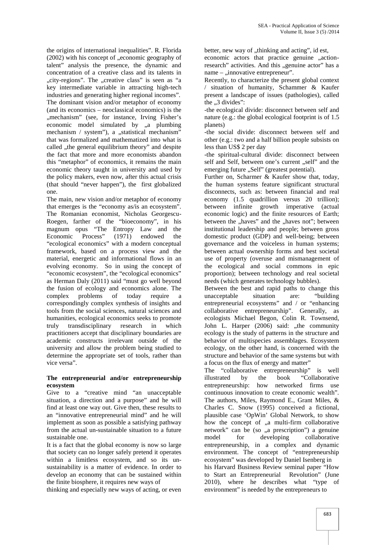the origins of international inequalities". R. Florida  $(2002)$  with his concept of  $\alpha$ , economic geography of talent" analysis the presence, the dynamic and concentration of a creative class and its talents in "city-regions". The "creative class" is seen as "a key intermediate variable in attracting high-tech industries and generating higher regional incomes". The dominant vision and/or metaphor of economy (and its economics – neoclassical economics) is the "mechanism" (see, for instance, Irving Fisher's economic model simulated by "a plumbing mechanism / system"), a "statistical mechanism" that was formalized and mathematized into what is called ..the general equilibrium theory" and despite the fact that more and more economists abandon this "metaphor" of economics, it remains the main economic theory taught in university and used by the policy makers, even now, after this actual crisis (that should "never happen"), the first globalized one.

The main, new vision and/or metaphor of economy that emerges is the "economy as/is an ecosystem". The Romanian economist, Nicholas Georgescu- Roegen, farther of the "bioeconomy", in his magnum opus "The Entropy Law and the Economic Process" (1971) endowed the "ecological economics" with a modern conceptual framework, based on a process view and the material, energetic and informational flows in an evolving economy. So in using the concept of "economic ecosystem", the "ecological economics" as Herman Daly (2011) said "must go well beyond the fusion of ecology and economics alone. The complex problems of today require a correspondingly complex synthesis of insights and tools from the social sciences, natural sciences and humanities, ecological economics seeks to promote truly transdisciplinary research in which practitioners accept that disciplinary boundaries are academic constructs irrelevant outside of the university and allow the problem being studied to determine the appropriate set of tools, rather than vice versa".

#### **The entrepreneurial and/or entrepreneurship ecosystem**

Give to a "creative mind "an unacceptable situation, a direction and a purpose" and he will find at least one way out. Give then, these results to an "innovative entrepreneurial mind" and he will implement as soon as possible a satisfying pathway from the actual un-sustainable situation to a future sustainable one.

It is a fact that the global economy is now so large that society can no longer safely pretend it operates within a limitless ecosystem, and so its un sustainability is a matter of evidence. In order to develop an economy that can be sustained within the finite biosphere, it requires new ways of

thinking and especially new ways of acting, or even

better, new way of "thinking and acting", id est, economic actors that practice genuine "action-

research" activities. And this "genuine actor" has a name – "innovative entrepreneur".

Recently, to characterize the present global context / situation of humanity, Schammer & Kaufer present a landscape of issues (pathologies), called the  $, 3$  divides":

-the ecological divide: disconnect between self and nature (e.g.: the global ecological footprint is of 1.5 planets)

-the social divide: disconnect between self and other (e.g.: two and a half billion people subsists on less than US\$ 2 per day

-the spiritual-cultural divide: disconnect between self and Self, between one's current "self" and the emerging future "Self" (greatest potential).

Further on, Scharmer & Kaufer show that, today, the human systems feature significant structural disconnects, such as: between financial and real economy (1.5 quadrillion versus 20 trillion); between infinite growth imperative (actual economic logic) and the finite resources of Earth; between the "haves" and the "haves not"; between institutional leadership and people; between gross domestic product (GDP) and well-being; between governance and the voiceless in human systems; between actual ownership forms and best societal use of property (overuse and mismanagement of the ecological and social commons in epic proportion); between technology and real societal needs (which generates technology bubbles).

Between the best and rapid paths to change this unacceptable situation are: "building entrepreneurial ecosystems" and / or "enhancing collaborative entrepreneurship". Generally, as ecologists Michael Begon, Colin R. Townsend, John L. Harper (2006) said: "the community ecology is the study of patterns in the structure and behavior of multispecies assemblages. Ecosystem ecology, on the other hand, is concerned with the structure and behavior of the same systems but with a focus on the flux of energy and matter"

The "collaborative entrepreneurship" is well by the book "Collaborative entrepreneurship: how networked firms use continuous innovation to create economic wealth". The authors, Miles, Raymond E., Grant Miles, & Charles C. Snow (1995) conceived a fictional, plausible case 'OpWin' Global Network, to show how the concept of "a multi-firm collaborative network" can be (so "a prescription") a genuine model for developing collaborative entrepreneurship, in a complex and dynamic environment. The concept of "entrepreneurship ecosystem" was developed by Daniel Isenberg in his Harvard Business Review seminal paper "How to Start an Entrepreneurial Revolution" (June 2010), where he describes what "type of environment" is needed by the entrepreneurs to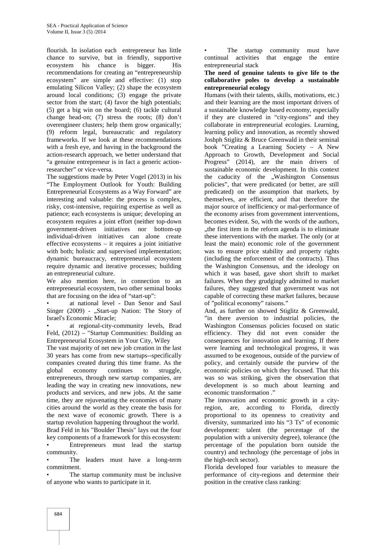flourish. In isolation each entrepreneur has little chance to survive, but in friendly, supportive ecosystem his chance is bigger. His recommendations for creating an "entrepreneurship ecosystem" are simple and effective: (1) stop emulating Silicon Valley; (2) shape the ecosystem around local conditions; (3) engage the private sector from the start; (4) favor the high potentials; (5) get a big win on the board; (6) tackle cultural change head-on; (7) stress the roots; (8) don't overengineer clusters; help them grow organically; (9) reform legal, bureaucratic and regulatory frameworks. If we look at these recommendations with a fresh eye, and having in the background the action-research approach, we better understand that "a genuine entrepreneur is in fact a generic actionresearcher" or vice-versa.

The suggestions made by Peter Vogel (2013) in his "The Employment Outlook for Youth: Building Entrepreneurial Ecosystems as a Way Forward" are interesting and valuable: the process is complex, risky, cost-intensive, requiring expertise as well as patience; each ecosystems is unique; developing an ecosystem requires a joint effort (neither top-down government-driven initiatives nor bottom-up individual-driven initiatives can alone create effective ecosystems – it requires a joint initiative with both; holistic and supervised implementation; dynamic bureaucracy, entrepreneurial ecosystem require dynamic and iterative processes; building an entrepreneurial culture.

We also mention here, in connection to an entrepreneurial ecosystem, two other seminal books that are focusing on the idea of "start-up":

• at national level - Dan Senor and Saul Singer  $(2009)$  - "Start-up Nation: The Story of Israel's Economic Miracle;

at regional-city-community levels, Brad Feld, (2012) – "Startup Communities: Building an Entrepreneurial Ecosystem in Your City, Wiley

The vast majority of net new job creation in the last 30 years has come from new startups--specifically companies created during this time frame. As the global economy continues to struggle, entrepreneurs, through new startup companies, are leading the way in creating new innovations, new products and services, and new jobs. At the same time, they are rejuvenating the economies of many cities around the world as they create the basis for the next wave of economic growth. There is a startup revolution happening throughout the world. Brad Feld in his "Boulder Thesis" lays out the four key components of a framework for this ecosystem: • Entrepreneurs must lead the startup community.

The leaders must have a long-term commitment.

The startup community must be inclusive of anyone who wants to participate in it.

The startup community must have continual activities that engage the entire entrepreneurial stack

#### **The need of genuine talents to give life to the collaborative poles to develop a sustainable entrepreneurial ecology**

Humans (with their talents, skills, motivations, etc.) and their learning are the most important drivers of a sustainable knowledge based economy, especially if they are clustered in "city-regions" and they collaborate in entrepreneurial ecologies. Learning, learning policy and innovation, as recently showed Joshph Stiglitz & Bruce Greenwald in their seminal book "Creating a Learning Society – A New Approach to Growth, Development and Social Progress" (2014), are the main drivers of sustainable economic development. In this context the caducity of the "Washington Consensus policies", that were predicated (or better, are still predicated) on the assumption that markets, by themselves, are efficient, and that therefore the major source of inefficiency or mal-performance of the economy arises from government interventions, becomes evident. So, with the words of the authors, ..the first item in the reform agenda is to eliminate. these interventions with the market. The only (or at least the main) economic role of the government was to ensure price stability and property rights (including the enforcement of the contracts). Thus the Washington Consensus, and the ideology on which it was based, gave short shrift to market failures. When they grudgingly admitted to market failures, they suggested that government was not capable of correcting these market failures, because of "political economy" raisons."

And, as further on showed Stiglitz & Greenwald, "in there aversion to industrial policies, the Washington Consensus policies focused on static efficiency. They did not even consider the consequences for innovation and learning. If there were learning and technological progress, it was assumed to be exogenous, outside of the purview of policy, and certainly outside the purview of the economic policies on which they focused. That this was so was striking, given the observation that development is so much about learning and economic transformation ."

The innovation and economic growth in a cityregion, are, according to Florida, directly proportional to its openness to creativity and diversity, summarized into his "3 Ts" of economic development: talent (the percentage of the population with a university degree), tolerance (the percentage of the population born outside the country) and technology (the percentage of jobs in the high-tech sector).

Florida developed four variables to measure the performance of city-regions and determine their position in the creative class ranking: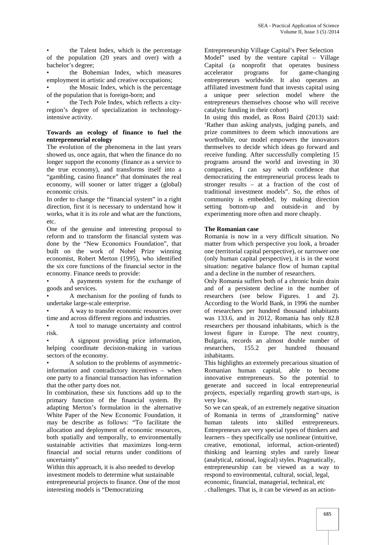the Talent Index, which is the percentage of the population (20 years and over) with a bachelor's degree;

the Bohemian Index, which measures employment in artistic and creative occupations;

• the Mosaic Index, which is the percentage of the population that is foreign-born; and

the Tech Pole Index, which reflects a cityregion's degree of specialization in technologyintensive activity.

#### **Towards an ecology of finance to fuel the entrepreneurial ecology**

The evolution of the phenomena in the last years showed us, once again, that when the finance do no longer support the economy (finance as a service to the true economy), and transforms itself into a "gambling, casino finance" that dominates the real economy, will sooner or latter trigger a (global) economic crisis.

In order to change the "financial system" in a right direction, first it is necessary to understand how it works, what it is its role and what are the functions, etc.

One of the genuine and interesting proposal to reform and to transform the financial system was done by the "New Economics Foundation", that built on the work of Nobel Prize winning economist, Robert Merton (1995), who identified the six core functions of the financial sector in the economy. Finance needs to provide:

• A payments system for the exchange of goods and services.

• A mechanism for the pooling of funds to undertake large-scale enterprise.

• A way to transfer economic resources over time and across different regions and industries.

• A tool to manage uncertainty and control risk.

• A signpost providing price information, helping coordinate decision-making in various sectors of the economy.

• A solution to the problems of asymmetricinformation and contradictory incentives – when one party to a financial transaction has information that the other party does not.

In combination, these six functions add up to the primary function of the financial system. By adapting Merton's formulation in the alternative White Paper of the New Economic Foundation, it may be describe as follows: "To facilitate the allocation and deployment of economic resources, both spatially and temporally, to environmentally sustainable activities that maximizes long-term financial and social returns under conditions of uncertainty"

Within this approach, it is also needed to develop investment models to determine what sustainable entrepreneurial projects to finance. One of the most interesting models is "Democratizing

Entrepreneurship Village Capital's Peer Selection

Model" used by the venture capital – Village Capital (a nonprofit that operates business accelerator programs for game-changing entrepreneurs worldwide. It also operates an affiliated investment fund that invests capital using a unique peer selection model where the entrepreneurs themselves choose who will receive catalytic funding in their cohort)

In using this model, as Ross Baird (2013) said: 'Rather than asking analysts, judging panels, and prize committees to deem which innovations are worthwhile, our model empowers the innovators themselves to decide which ideas go forward and receive funding. After successfully completing 15 programs around the world and investing in 30 companies, I can say with confidence that democratizing the entrepreneurial process leads to stronger results – at a fraction of the cost of traditional investment models". So, the ethos of community is embedded, by making direction setting bottom-up and outside-in and by experimenting more often and more cheaply.

#### **The Romanian case**

Romania is now in a very difficult situation. No matter from which perspective you look, a broader one (territorial capital perspective), or narrower one (only human capital perspective), it is in the worst situation: negative balance flow of human capital and a decline in the number of researchers.

Only Romania suffers both of a chronic brain drain and of a persistent decline in the number of researchers (see below Figures. 1 and 2). According to the World Bank, in 1996 the number of researchers per hundred thousand inhabitants was 133.6, and in 2012, Romania has only 82.8 researchers per thousand inhabitants, which is the lowest figure in Europe. The next country, Bulgaria, records an almost double number of researchers, 155.2 per hundred thousand inhabitants.

This highlights an extremely precarious situation of Romanian human capital, able to become innovative entrepreneurs. So the potential to generate and succeed in local entrepreneurial projects, especially regarding growth start-ups, is very low.

So we can speak, of an extremely negative situation of Romania in terms of "transforming" native human talents into skilled entrepreneurs. Entrepreneurs are very special types of thinkers and learners – they specifically use nonlinear (intuitive, creative, emotional, informal, action-oriented) thinking and learning styles and rarely linear (analytical, rational, logical) styles. Pragmatically, entrepreneurship can be viewed as a way to respond to environmental, cultural, social, legal, economic, financial, managerial, technical, etc . challenges. That is, it can be viewed as an action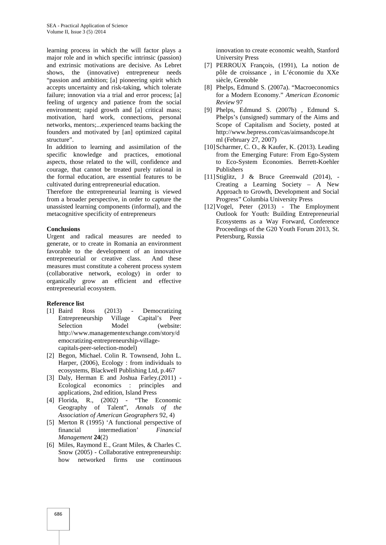learning process in which the will factor plays a major role and in which specific intrinsic (passion) and extrinsic motivations are decisive. As Lebret shows, the (innovative) entrepreneur needs "passion and ambition; [a] pioneering spirit which accepts uncertainty and risk-taking, which tolerate failure; innovation via a trial and error process; [a] feeling of urgency and patience from the social environment; rapid growth and [a] critical mass; motivation, hard work, connections, personal networks, mentors;...experienced teams backing the founders and motivated by [an] optimized capital structure".

In addition to learning and assimilation of the specific knowledge and practices, emotional aspects, those related to the will, confidence and courage, that cannot be treated purely rational in the formal education, are essential features to be cultivated during entrepreneurial education.

Therefore the entrepreneurial learning is viewed from a broader perspective, in order to capture the unassisted learning components (informal), and the metacognitive specificity of entrepreneurs

#### **Conclusions**

Urgent and radical measures are needed to generate, or to create in Romania an environment favorable to the development of an innovative entrepreneurial or creative class. And these entrepreneurial or creative class. measures must constitute a coherent process system (collaborative network, ecology) in order to organically grow an efficient and effective entrepreneurial ecosystem.

#### **Reference list**

- [1] Baird Ross (2013) Democratizing Entrepreneurship Village Capital's Peer Selection Model (website: http://www.managementexchange.com/story/d emocratizing-entrepreneurship-village capitals-peer-selection-model)
- [2] Begon, Michael. Colin R. Townsend, John L. Harper, (2006), Ecology : from individuals to ecosystems, Blackwell Publishing Ltd, p.467
- [3] Daly, Herman E and Joshua Farley.(2011) Ecological economics : principles and applications, 2nd edition, Island Press
- [4] Florida, R., (2002) "The Economic Geography of Talent", *Annals of the Association of American Geographers* 92, 4)
- [5] Merton R (1995) 'A functional perspective of financial intermediation' *Financial Management* **24**(2)
- [6] Miles, Raymond E., Grant Miles, & Charles C. Snow (2005) - Collaborative entrepreneurship: how networked firms use continuous

innovation to create economic wealth, Stanford University Press

- [7] PERROUX François, (1991), La notion de pôle de croissance , in L'économie du XXe siècle, Grenoble
- [8] Phelps, Edmund S. (2007a). "Macroeconomics for a Modern Economy." *American Economic Review* 97
- [9] Phelps, Edmund S. (2007b) , Edmund S. Phelps's (unsigned) summary of the Aims and Scope of Capitalism and Society, posted at http://www.bepress.com/cas/aimsandscope.ht ml (February 27, 2007)
- [10] Scharmer, C. O., & Kaufer, K. (2013). Leading from the Emerging Future: From Ego-System to Eco-System Economies. Berrett-Koehler Publishers
- [11]Stiglitz, J & Bruce Greenwald (2014), Creating a Learning Society – A New Approach to Growth, Development and Social Progress" Columbia University Press
- [12] Vogel, Peter (2013) The Employment Outlook for Youth: Building Entrepreneurial Ecosystems as a Way Forward, Conference Proceedings of the G20 Youth Forum 2013, St. Petersburg, Russia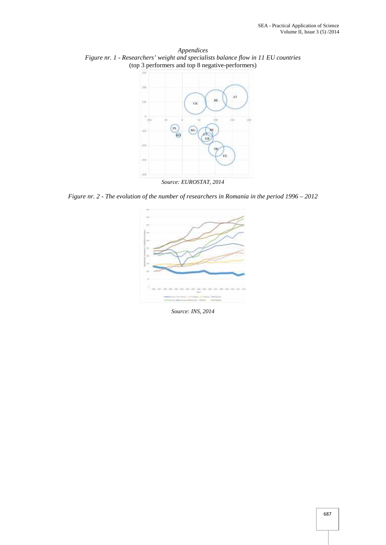*Appendices Figure nr. 1 - Researchers' weight and specialists balance flow in 11 EU countries* (top 3 performers and top 8 negative-performers)



*Source: EUROSTAT, 2014*

*Figure nr. 2 - The evolution of the number of researchers in Romania in the period 1996 – 2012*



*Source: INS, 2014*